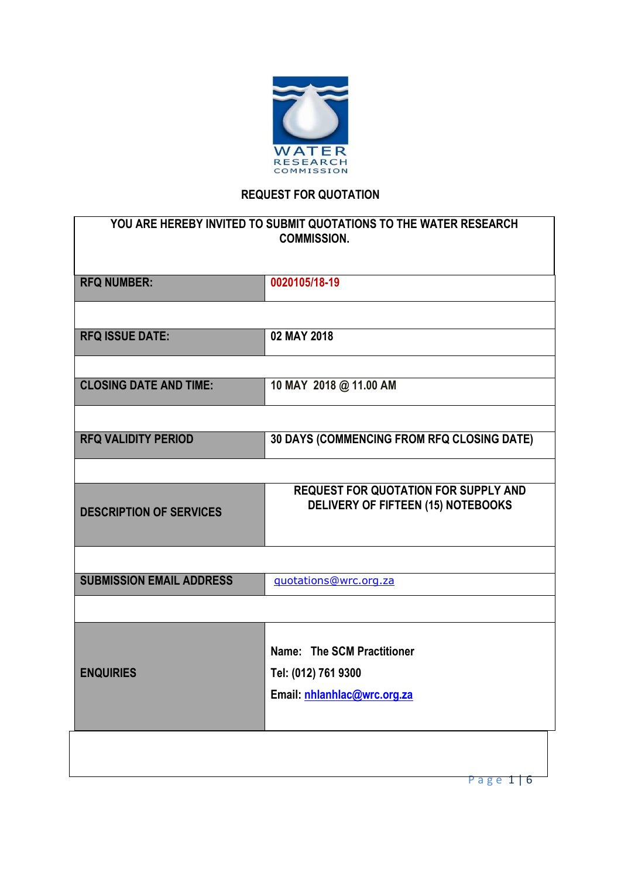

# **REQUEST FOR QUOTATION**

| YOU ARE HEREBY INVITED TO SUBMIT QUOTATIONS TO THE WATER RESEARCH<br><b>COMMISSION.</b> |                                                                                          |  |  |  |  |
|-----------------------------------------------------------------------------------------|------------------------------------------------------------------------------------------|--|--|--|--|
| <b>RFQ NUMBER:</b>                                                                      | 0020105/18-19                                                                            |  |  |  |  |
|                                                                                         |                                                                                          |  |  |  |  |
| <b>RFQ ISSUE DATE:</b>                                                                  | 02 MAY 2018                                                                              |  |  |  |  |
| <b>CLOSING DATE AND TIME:</b>                                                           | 10 MAY 2018 @ 11.00 AM                                                                   |  |  |  |  |
|                                                                                         |                                                                                          |  |  |  |  |
| <b>RFQ VALIDITY PERIOD</b>                                                              | 30 DAYS (COMMENCING FROM RFQ CLOSING DATE)                                               |  |  |  |  |
|                                                                                         |                                                                                          |  |  |  |  |
| <b>DESCRIPTION OF SERVICES</b>                                                          | <b>REQUEST FOR QUOTATION FOR SUPPLY AND</b><br><b>DELIVERY OF FIFTEEN (15) NOTEBOOKS</b> |  |  |  |  |
|                                                                                         |                                                                                          |  |  |  |  |
| <b>SUBMISSION EMAIL ADDRESS</b>                                                         | guotations@wrc.org.za                                                                    |  |  |  |  |
|                                                                                         |                                                                                          |  |  |  |  |
|                                                                                         | Name: The SCM Practitioner                                                               |  |  |  |  |
| <b>ENQUIRIES</b>                                                                        | Tel: (012) 761 9300                                                                      |  |  |  |  |
|                                                                                         | Email: nhlanhlac@wrc.org.za                                                              |  |  |  |  |
|                                                                                         |                                                                                          |  |  |  |  |
|                                                                                         | Page 1<br>  ხ                                                                            |  |  |  |  |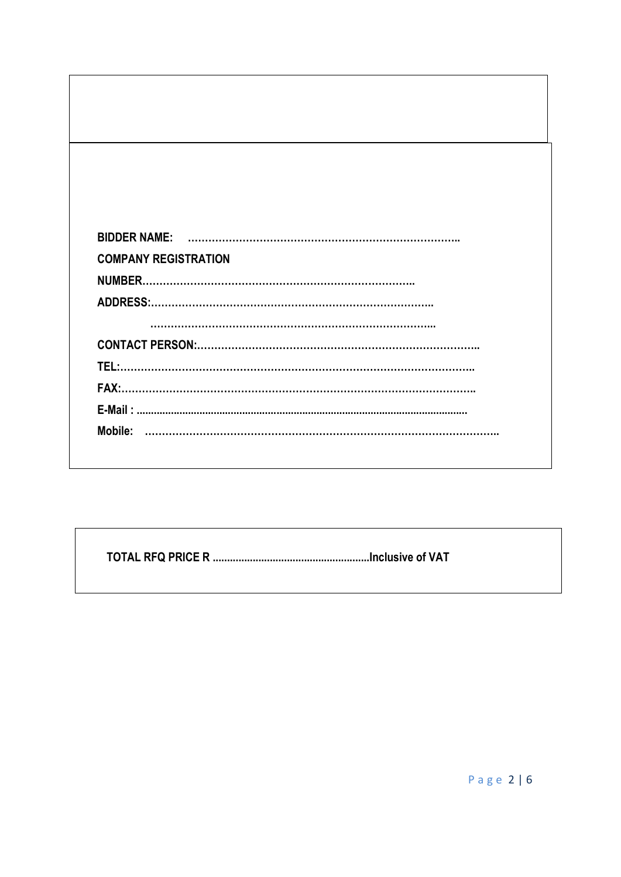| <b>COMPANY REGISTRATION</b> |
|-----------------------------|
|                             |
|                             |
|                             |
|                             |
|                             |
|                             |
|                             |
|                             |
|                             |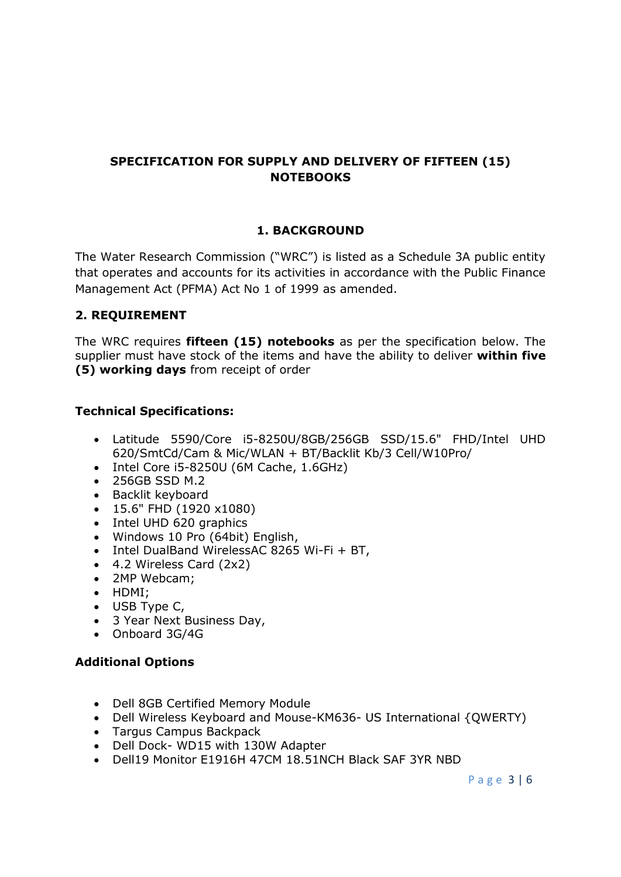## **SPECIFICATION FOR SUPPLY AND DELIVERY OF FIFTEEN (15) NOTEBOOKS**

## **1. BACKGROUND**

The Water Research Commission ("WRC") is listed as a Schedule 3A public entity that operates and accounts for its activities in accordance with the Public Finance Management Act (PFMA) Act No 1 of 1999 as amended.

## **2. REQUIREMENT**

The WRC requires **fifteen (15) notebooks** as per the specification below. The supplier must have stock of the items and have the ability to deliver **within five (5) working days** from receipt of order

## **Technical Specifications:**

- Latitude 5590/Core i5-8250U/8GB/256GB SSD/15.6" FHD/Intel UHD 620/SmtCd/Cam & Mic/WLAN + BT/Backlit Kb/3 Cell/W10Pro/
- Intel Core i5-8250U (6M Cache, 1.6GHz)
- 256GB SSD M.2
- Backlit keyboard
- 15.6" FHD (1920 x1080)
- Intel UHD 620 graphics
- Windows 10 Pro (64bit) English,
- Intel DualBand WirelessAC 8265 Wi-Fi + BT,
- 4.2 Wireless Card (2x2)
- 2MP Webcam:
- HDMI;
- USB Type C,
- 3 Year Next Business Day,
- Onboard 3G/4G

#### **Additional Options**

- Dell 8GB Certified Memory Module
- Dell Wireless Keyboard and Mouse-KM636- US International {QWERTY)
- Targus Campus Backpack
- Dell Dock- WD15 with 130W Adapter
- Dell19 Monitor E1916H 47CM 18.51NCH Black SAF 3YR NBD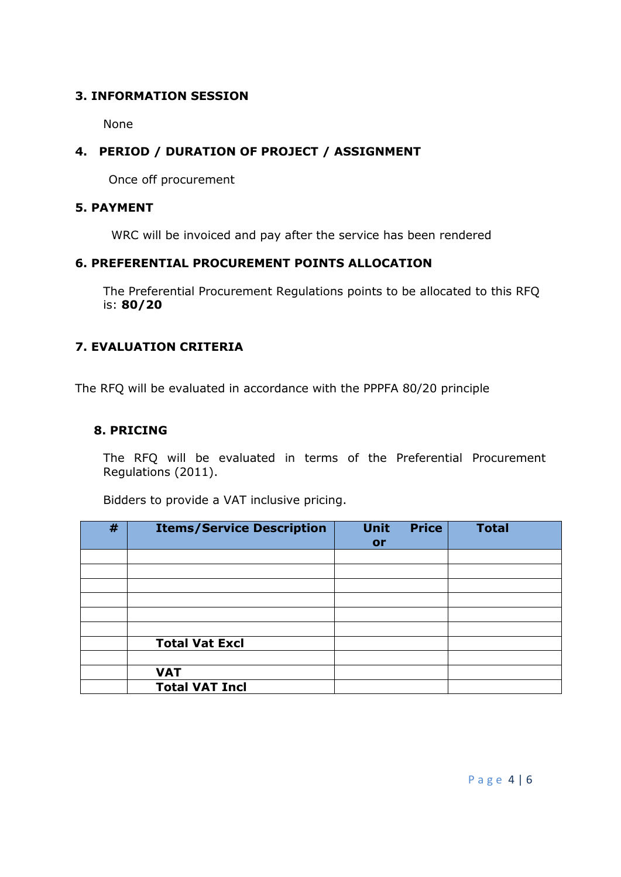## **3. INFORMATION SESSION**

None

## **4. PERIOD / DURATION OF PROJECT / ASSIGNMENT**

Once off procurement

#### **5. PAYMENT**

WRC will be invoiced and pay after the service has been rendered

#### **6. PREFERENTIAL PROCUREMENT POINTS ALLOCATION**

The Preferential Procurement Regulations points to be allocated to this RFQ is: **80/20**

## **7. EVALUATION CRITERIA**

The RFQ will be evaluated in accordance with the PPPFA 80/20 principle

#### **8. PRICING**

The RFQ will be evaluated in terms of the Preferential Procurement Regulations (2011).

|   | . .                              | ັ                        |              |              |
|---|----------------------------------|--------------------------|--------------|--------------|
| # | <b>Items/Service Description</b> | <b>Unit</b><br><b>or</b> | <b>Price</b> | <b>Total</b> |
|   |                                  |                          |              |              |
|   |                                  |                          |              |              |
|   |                                  |                          |              |              |
|   |                                  |                          |              |              |
|   |                                  |                          |              |              |
|   |                                  |                          |              |              |
|   | <b>Total Vat Excl</b>            |                          |              |              |
|   |                                  |                          |              |              |
|   | <b>VAT</b>                       |                          |              |              |

Bidders to provide a VAT inclusive pricing.

**Total VAT Incl**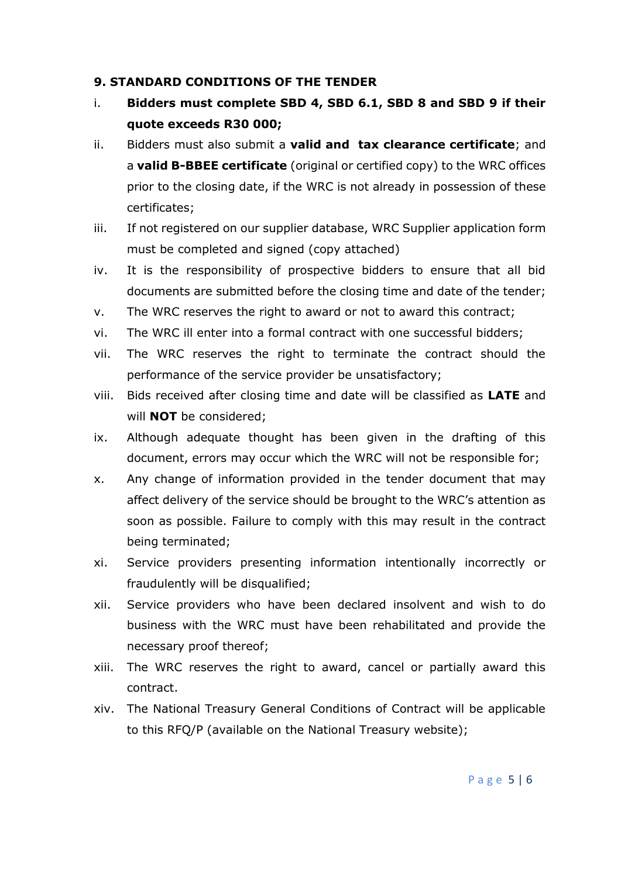#### **9. STANDARD CONDITIONS OF THE TENDER**

- i. **Bidders must complete SBD 4, SBD 6.1, SBD 8 and SBD 9 if their quote exceeds R30 000;**
- ii. Bidders must also submit a **valid and tax clearance certificate**; and a **valid B-BBEE certificate** (original or certified copy) to the WRC offices prior to the closing date, if the WRC is not already in possession of these certificates;
- iii. If not registered on our supplier database, WRC Supplier application form must be completed and signed (copy attached)
- iv. It is the responsibility of prospective bidders to ensure that all bid documents are submitted before the closing time and date of the tender;
- v. The WRC reserves the right to award or not to award this contract;
- vi. The WRC ill enter into a formal contract with one successful bidders;
- vii. The WRC reserves the right to terminate the contract should the performance of the service provider be unsatisfactory;
- viii. Bids received after closing time and date will be classified as **LATE** and will **NOT** be considered;
- ix. Although adequate thought has been given in the drafting of this document, errors may occur which the WRC will not be responsible for;
- x. Any change of information provided in the tender document that may affect delivery of the service should be brought to the WRC's attention as soon as possible. Failure to comply with this may result in the contract being terminated;
- xi. Service providers presenting information intentionally incorrectly or fraudulently will be disqualified;
- xii. Service providers who have been declared insolvent and wish to do business with the WRC must have been rehabilitated and provide the necessary proof thereof;
- xiii. The WRC reserves the right to award, cancel or partially award this contract.
- xiv. The National Treasury General Conditions of Contract will be applicable to this RFQ/P (available on the National Treasury website);